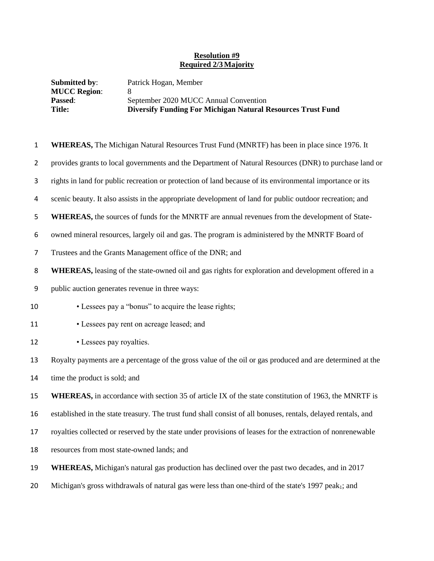## **Resolution #9 Required 2/3Majority**

| <b>Submitted by:</b> | Patrick Hogan, Member                                              |
|----------------------|--------------------------------------------------------------------|
| <b>MUCC Region:</b>  |                                                                    |
| <b>Passed:</b>       | September 2020 MUCC Annual Convention                              |
| <b>Title:</b>        | <b>Diversify Funding For Michigan Natural Resources Trust Fund</b> |

 **WHEREAS,** The Michigan Natural Resources Trust Fund (MNRTF) has been in place since 1976. It provides grants to local governments and the Department of Natural Resources (DNR) to purchase land or rights in land for public recreation or protection of land because of its environmental importance or its scenic beauty. It also assists in the appropriate development of land for public outdoor recreation; and **WHEREAS,** the sources of funds for the MNRTF are annual revenues from the development of State- owned mineral resources, largely oil and gas. The program is administered by the MNRTF Board of Trustees and the Grants Management office of the DNR; and **WHEREAS,** leasing of the state-owned oil and gas rights for exploration and development offered in a public auction generates revenue in three ways: • Lessees pay a "bonus" to acquire the lease rights; • Lessees pay rent on acreage leased; and • Lessees pay royalties. Royalty payments are a percentage of the gross value of the oil or gas produced and are determined at the 14 time the product is sold; and **WHEREAS**, in accordance with section 35 of article IX of the state constitution of 1963, the MNRTF is established in the state treasury. The trust fund shall consist of all bonuses, rentals, delayed rentals, and royalties collected or reserved by the state under provisions of leases for the extraction of nonrenewable resources from most state-owned lands; and **WHEREAS,** Michigan's natural gas production has declined over the past two decades, and in 2017 20 Michigan's gross withdrawals of natural gas were less than one-third of the state's 1997 peak<sub>1</sub>; and